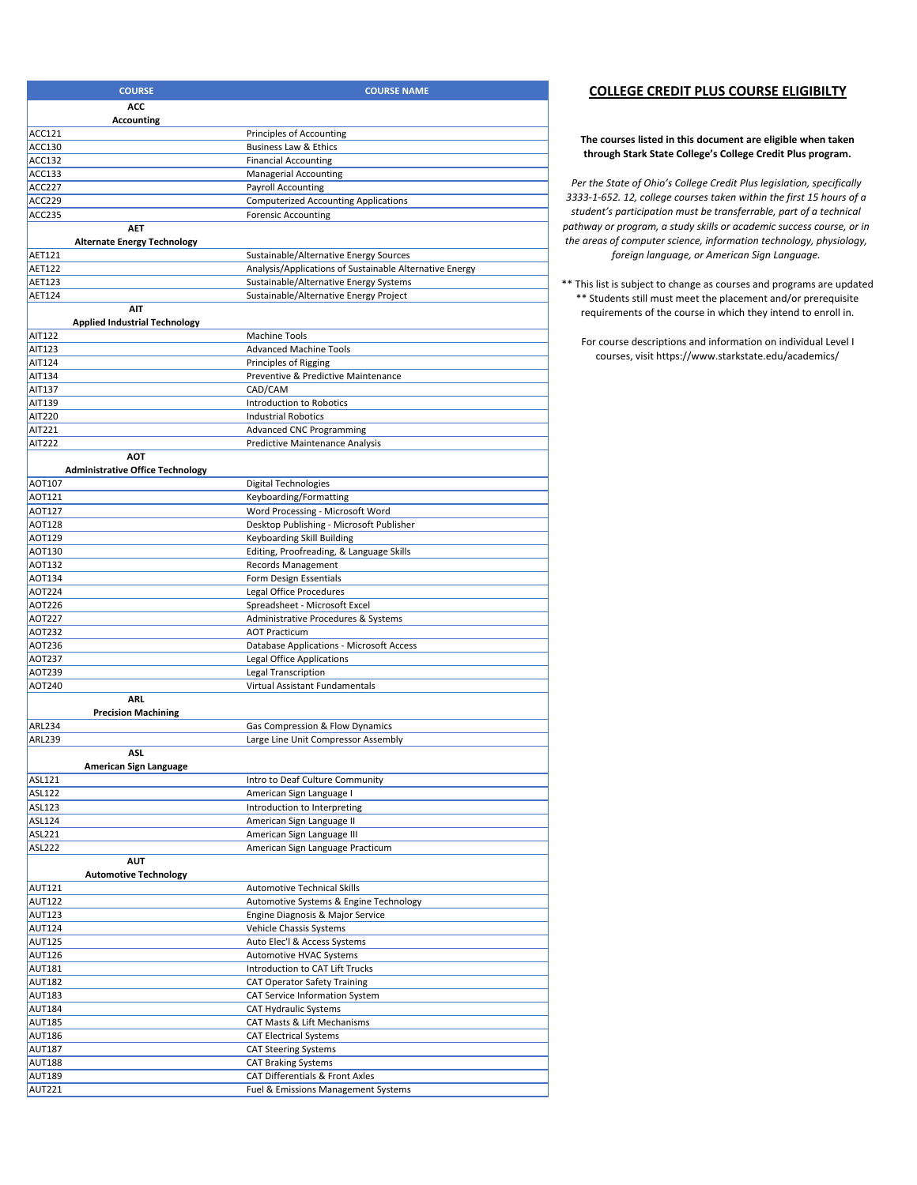| <b>COURSE</b>                                | <b>COURSE NAME</b>                                                           |
|----------------------------------------------|------------------------------------------------------------------------------|
| ACC                                          |                                                                              |
| <b>Accounting</b>                            |                                                                              |
| ACC121                                       | Principles of Accounting                                                     |
| ACC130                                       | Business Law & Ethics                                                        |
| ACC132                                       | <b>Financial Accounting</b>                                                  |
| ACC133                                       | <b>Managerial Accounting</b>                                                 |
| <b>ACC227</b>                                | Payroll Accounting                                                           |
| <b>ACC229</b>                                | <b>Computerized Accounting Applications</b>                                  |
| <b>ACC235</b>                                | <b>Forensic Accounting</b>                                                   |
| <b>AET</b>                                   |                                                                              |
| <b>Alternate Energy Technology</b><br>AET121 | Sustainable/Alternative Energy Sources                                       |
| AET122                                       | Analysis/Applications of Sustainable Alternative Energy                      |
| AET123                                       | Sustainable/Alternative Energy Systems                                       |
| AET124                                       | Sustainable/Alternative Energy Project                                       |
| AIT                                          |                                                                              |
| <b>Applied Industrial Technology</b>         |                                                                              |
| AIT122                                       | <b>Machine Tools</b>                                                         |
| AIT123                                       | <b>Advanced Machine Tools</b>                                                |
| AIT124                                       | Principles of Rigging                                                        |
| AIT134<br>AIT137                             | Preventive & Predictive Maintenance<br>CAD/CAM                               |
| AIT139                                       | Introduction to Robotics                                                     |
| AIT220                                       | <b>Industrial Robotics</b>                                                   |
| AIT221                                       | <b>Advanced CNC Programming</b>                                              |
| AIT222                                       | <b>Predictive Maintenance Analysis</b>                                       |
| <b>AOT</b>                                   |                                                                              |
| <b>Administrative Office Technology</b>      |                                                                              |
| AOT107                                       | <b>Digital Technologies</b>                                                  |
| AOT121                                       | Keyboarding/Formatting                                                       |
| AOT127<br>AOT128                             | Word Processing - Microsoft Word<br>Desktop Publishing - Microsoft Publisher |
| AOT129                                       | Keyboarding Skill Building                                                   |
| AOT130                                       | Editing, Proofreading, & Language Skills                                     |
| AOT132                                       | Records Management                                                           |
| AOT134                                       | Form Design Essentials                                                       |
| AOT224                                       | Legal Office Procedures                                                      |
| AOT226                                       | Spreadsheet - Microsoft Excel                                                |
| AOT227                                       | Administrative Procedures & Systems                                          |
| AOT232                                       | <b>AOT Practicum</b>                                                         |
| AOT236                                       | Database Applications - Microsoft Access                                     |
| AOT237<br>AOT239                             | <b>Legal Office Applications</b>                                             |
| AOT240                                       | Legal Transcription<br>Virtual Assistant Fundamentals                        |
| ARI.                                         |                                                                              |
| <b>Precision Machining</b>                   |                                                                              |
| ARL234                                       | Gas Compression & Flow Dynamics                                              |
| ARL239                                       | Large Line Unit Compressor Assembly                                          |
| ASI.                                         |                                                                              |
| American Sign Language<br>ASL121             |                                                                              |
| ASL122                                       | Intro to Deaf Culture Community<br>American Sign Language I                  |
| ASL123                                       | Introduction to Interpreting                                                 |
| ASL124                                       | American Sign Language II                                                    |
| ASL221                                       | American Sign Language III                                                   |
| ASL222                                       | American Sign Language Practicum                                             |
| <b>AUT</b>                                   |                                                                              |
| <b>Automotive Technology</b>                 |                                                                              |
| AUT121<br><b>AUT122</b>                      | <b>Automotive Technical Skills</b>                                           |
| <b>AUT123</b>                                | Automotive Systems & Engine Technology<br>Engine Diagnosis & Major Service   |
| <b>AUT124</b>                                | Vehicle Chassis Systems                                                      |
| <b>AUT125</b>                                | Auto Elec'l & Access Systems                                                 |
| <b>AUT126</b>                                | Automotive HVAC Systems                                                      |
| <b>AUT181</b>                                | Introduction to CAT Lift Trucks                                              |
| <b>AUT182</b>                                | <b>CAT Operator Safety Training</b>                                          |
| <b>AUT183</b>                                | CAT Service Information System                                               |
| <b>AUT184</b>                                | <b>CAT Hydraulic Systems</b>                                                 |
| <b>AUT185</b>                                | CAT Masts & Lift Mechanisms                                                  |
| <b>AUT186</b>                                | <b>CAT Electrical Systems</b>                                                |
| <b>AUT187</b>                                | <b>CAT Steering Systems</b>                                                  |
| <b>AUT188</b><br><b>AUT189</b>               | <b>CAT Braking Systems</b><br>CAT Differentials & Front Axles                |
| <b>AUT221</b>                                | Fuel & Emissions Management Systems                                          |
|                                              |                                                                              |

## **COLLEGE CREDIT PLUS COURSE ELIGIBILTY**

## **The courses listed in this document are eligible when taken through Stark State College's College Credit Plus program.**

*Per the State of Ohio's College Credit Plus legislation, specifically 3333‐1‐652. 12, college courses taken within the first 15 hours of a student's participation must be transferrable, part of a technical pathway or program, a study skills or academic success course, or in the areas of computer science, information technology, physiology, foreign language, or American Sign Language.*

\*\* This list is subject to change as courses and programs are updated \*\* Students still must meet the placement and/or prerequisite requirements of the course in which they intend to enroll in.

For course descriptions and information on individual Level I courses, visit https://www.starkstate.edu/academics/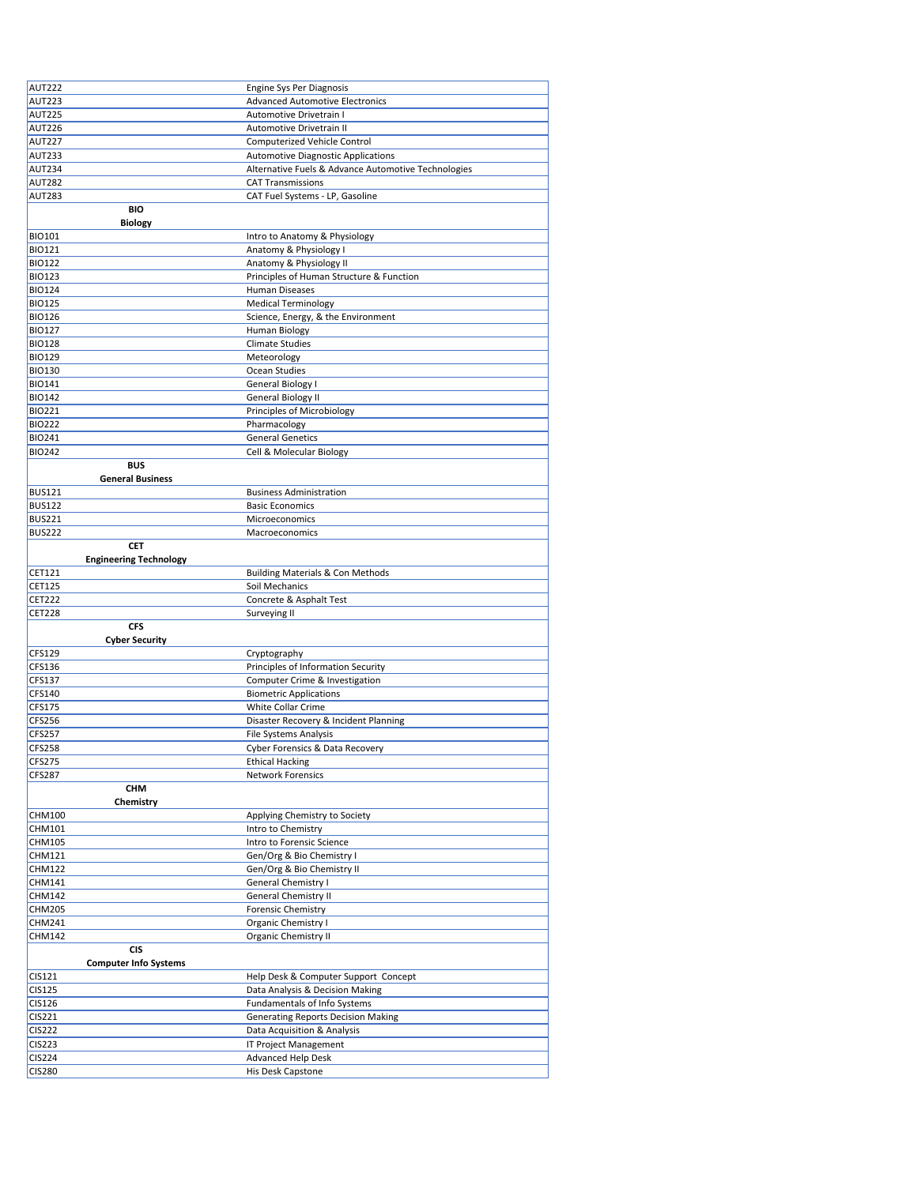| AUT222                          | Engine Sys Per Diagnosis                            |
|---------------------------------|-----------------------------------------------------|
| <b>AUT223</b>                   | <b>Advanced Automotive Electronics</b>              |
| <b>AUT225</b>                   | Automotive Drivetrain I                             |
| <b>AUT226</b>                   | Automotive Drivetrain II                            |
| <b>AUT227</b>                   | Computerized Vehicle Control                        |
| <b>AUT233</b>                   | <b>Automotive Diagnostic Applications</b>           |
| <b>AUT234</b>                   | Alternative Fuels & Advance Automotive Technologies |
| <b>AUT282</b>                   | <b>CAT Transmissions</b>                            |
| <b>AUT283</b>                   | CAT Fuel Systems - LP, Gasoline                     |
| <b>BIO</b>                      |                                                     |
|                                 |                                                     |
| <b>Biology</b><br><b>BIO101</b> | Intro to Anatomy & Physiology                       |
| <b>BIO121</b>                   | Anatomy & Physiology I                              |
| <b>BIO122</b>                   |                                                     |
|                                 | Anatomy & Physiology II                             |
| <b>BIO123</b>                   | Principles of Human Structure & Function            |
| <b>BIO124</b>                   | Human Diseases                                      |
| <b>BIO125</b>                   | <b>Medical Terminology</b>                          |
| <b>BIO126</b>                   | Science, Energy, & the Environment                  |
| <b>BIO127</b>                   | Human Biology                                       |
| <b>BIO128</b>                   | <b>Climate Studies</b>                              |
| <b>BIO129</b>                   | Meteorology                                         |
| <b>BIO130</b>                   | Ocean Studies                                       |
| <b>BIO141</b>                   | General Biology I                                   |
| <b>BIO142</b>                   | General Biology II                                  |
| <b>BIO221</b>                   | Principles of Microbiology                          |
| <b>BIO222</b>                   | Pharmacology                                        |
| <b>BIO241</b>                   | <b>General Genetics</b>                             |
| <b>BIO242</b>                   | Cell & Molecular Biology                            |
| <b>BUS</b>                      |                                                     |
| <b>General Business</b>         |                                                     |
| <b>BUS121</b>                   | <b>Business Administration</b>                      |
| <b>BUS122</b>                   | <b>Basic Economics</b>                              |
| <b>BUS221</b>                   | Microeconomics                                      |
| <b>BUS222</b>                   | Macroeconomics                                      |
| CET                             |                                                     |
| <b>Engineering Technology</b>   |                                                     |
| CET121                          | <b>Building Materials &amp; Con Methods</b>         |
| CET125                          | Soil Mechanics                                      |
| <b>CET222</b>                   | Concrete & Asphalt Test                             |
| <b>CET228</b>                   | Surveying II                                        |
|                                 |                                                     |
| <b>CFS</b>                      |                                                     |
| <b>Cyber Security</b>           |                                                     |
| CFS129                          | Cryptography                                        |
| CFS136                          | Principles of Information Security                  |
| CFS137                          | Computer Crime & Investigation                      |
| CFS140                          | <b>Biometric Applications</b>                       |
| CFS175                          | White Collar Crime                                  |
| CFS256                          | Disaster Recovery & Incident Planning               |
| <b>CFS257</b>                   | File Systems Analysis                               |
| <b>CFS258</b>                   | Cyber Forensics & Data Recovery                     |
| <b>CFS275</b>                   | <b>Ethical Hacking</b>                              |
| <b>CFS287</b>                   | Network Forensics                                   |
| CHM                             |                                                     |
| Chemistry                       |                                                     |
| CHM100                          | Applying Chemistry to Society                       |
| CHM101                          | Intro to Chemistry                                  |
| CHM105                          | Intro to Forensic Science                           |
| CHM121                          | Gen/Org & Bio Chemistry I                           |
| CHM122                          | Gen/Org & Bio Chemistry II                          |
| CHM141                          | General Chemistry I                                 |
| CHM142                          |                                                     |
| CHM205                          | General Chemistry II<br><b>Forensic Chemistry</b>   |
| CHM241                          | Organic Chemistry I                                 |
| CHM142                          |                                                     |
| <b>CIS</b>                      | Organic Chemistry II                                |
|                                 |                                                     |
| <b>Computer Info Systems</b>    |                                                     |
| CIS121                          | Help Desk & Computer Support Concept                |
| CIS125                          | Data Analysis & Decision Making                     |
| CIS126                          | Fundamentals of Info Systems                        |
| CIS221                          | <b>Generating Reports Decision Making</b>           |
| <b>CIS222</b>                   | Data Acquisition & Analysis                         |
| <b>CIS223</b>                   | IT Project Management                               |
| <b>CIS224</b><br><b>CIS280</b>  | <b>Advanced Help Desk</b><br>His Desk Capstone      |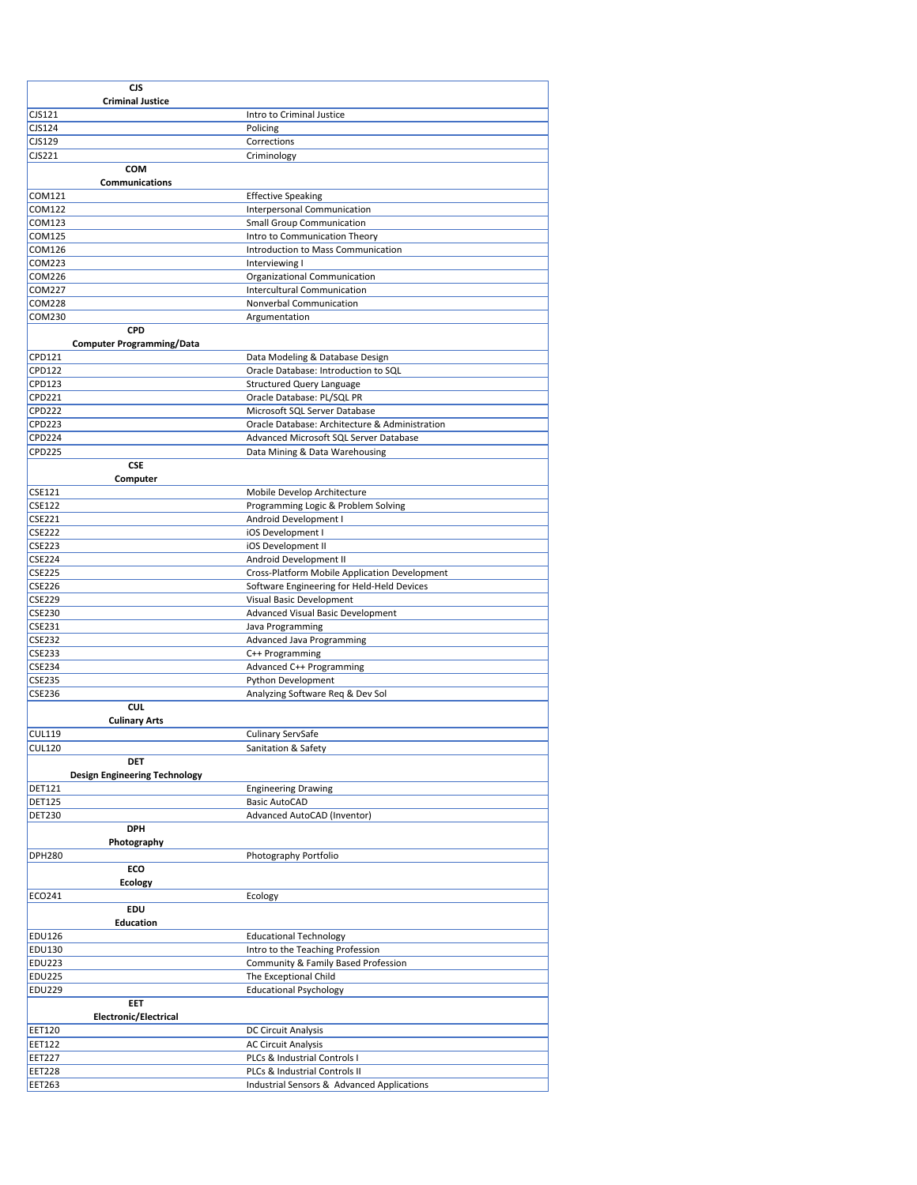| <b>CJS</b>                              |                                                                                          |
|-----------------------------------------|------------------------------------------------------------------------------------------|
| <b>Criminal Justice</b>                 |                                                                                          |
| CJS121                                  | Intro to Criminal Justice                                                                |
| <b>CJS124</b>                           | Policing                                                                                 |
| <b>CJS129</b><br><b>CJS221</b>          | Corrections                                                                              |
| COM                                     | Criminology                                                                              |
| <b>Communications</b>                   |                                                                                          |
| <b>COM121</b>                           | <b>Effective Speaking</b>                                                                |
| <b>COM122</b>                           | Interpersonal Communication                                                              |
| <b>COM123</b>                           | <b>Small Group Communication</b>                                                         |
| <b>COM125</b><br><b>COM126</b>          | Intro to Communication Theory<br>Introduction to Mass Communication                      |
| <b>COM223</b>                           | Interviewing I                                                                           |
| <b>COM226</b>                           | Organizational Communication                                                             |
| <b>COM227</b>                           | Intercultural Communication                                                              |
| <b>COM228</b>                           | Nonverbal Communication                                                                  |
| COM230                                  | Argumentation                                                                            |
| CPD<br><b>Computer Programming/Data</b> |                                                                                          |
| CPD121                                  | Data Modeling & Database Design                                                          |
| <b>CPD122</b>                           | Oracle Database: Introduction to SQL                                                     |
| CPD123                                  | <b>Structured Query Language</b>                                                         |
| CPD221                                  | Oracle Database: PL/SQL PR                                                               |
| <b>CPD222</b>                           | Microsoft SQL Server Database                                                            |
| <b>CPD223</b><br><b>CPD224</b>          | Oracle Database: Architecture & Administration<br>Advanced Microsoft SQL Server Database |
| CPD225                                  | Data Mining & Data Warehousing                                                           |
| <b>CSE</b>                              |                                                                                          |
| Computer                                |                                                                                          |
| <b>CSE121</b>                           | Mobile Develop Architecture                                                              |
| <b>CSE122</b>                           | Programming Logic & Problem Solving                                                      |
| <b>CSE221</b><br><b>CSE222</b>          | Android Development I<br>iOS Development I                                               |
| <b>CSE223</b>                           | iOS Development II                                                                       |
| <b>CSE224</b>                           | Android Development II                                                                   |
| <b>CSE225</b>                           | Cross-Platform Mobile Application Development                                            |
| <b>CSE226</b>                           | Software Engineering for Held-Held Devices                                               |
| <b>CSE229</b>                           | Visual Basic Development                                                                 |
| <b>CSE230</b>                           | Advanced Visual Basic Development                                                        |
| CSE231<br><b>CSE232</b>                 | Java Programming<br>Advanced Java Programming                                            |
| <b>CSE233</b>                           | C++ Programming                                                                          |
| CSE234                                  | Advanced C++ Programming                                                                 |
| <b>CSE235</b>                           | Python Development                                                                       |
| <b>CSE236</b>                           | Analyzing Software Req & Dev Sol                                                         |
| CUI.<br><b>Culinary Arts</b>            |                                                                                          |
| <b>CUL119</b>                           | Culinary ServSafe                                                                        |
| CUL120                                  | Sanitation & Safety                                                                      |
| DET                                     |                                                                                          |
| <b>Design Engineering Technology</b>    |                                                                                          |
| <b>DET121</b><br><b>DET125</b>          | <b>Engineering Drawing</b><br><b>Basic AutoCAD</b>                                       |
| <b>DET230</b>                           | Advanced AutoCAD (Inventor)                                                              |
| <b>DPH</b>                              |                                                                                          |
| Photography                             |                                                                                          |
| <b>DPH280</b>                           | Photography Portfolio                                                                    |
| ECO                                     |                                                                                          |
| <b>Ecology</b><br>ECO241                | Ecology                                                                                  |
| EDU                                     |                                                                                          |
| <b>Education</b>                        |                                                                                          |
| <b>EDU126</b>                           | <b>Educational Technology</b>                                                            |
| <b>EDU130</b>                           | Intro to the Teaching Profession                                                         |
| EDU223                                  | Community & Family Based Profession                                                      |
| <b>EDU225</b><br><b>EDU229</b>          | The Exceptional Child                                                                    |
| EET                                     | <b>Educational Psychology</b>                                                            |
| Electronic/Electrical                   |                                                                                          |
| <b>EET120</b>                           | DC Circuit Analysis                                                                      |
| <b>EET122</b>                           | <b>AC Circuit Analysis</b>                                                               |
| <b>EET227</b>                           | PLCs & Industrial Controls I                                                             |
| <b>EET228</b><br><b>EET263</b>          | PLCs & Industrial Controls II<br>Industrial Sensors & Advanced Applications              |
|                                         |                                                                                          |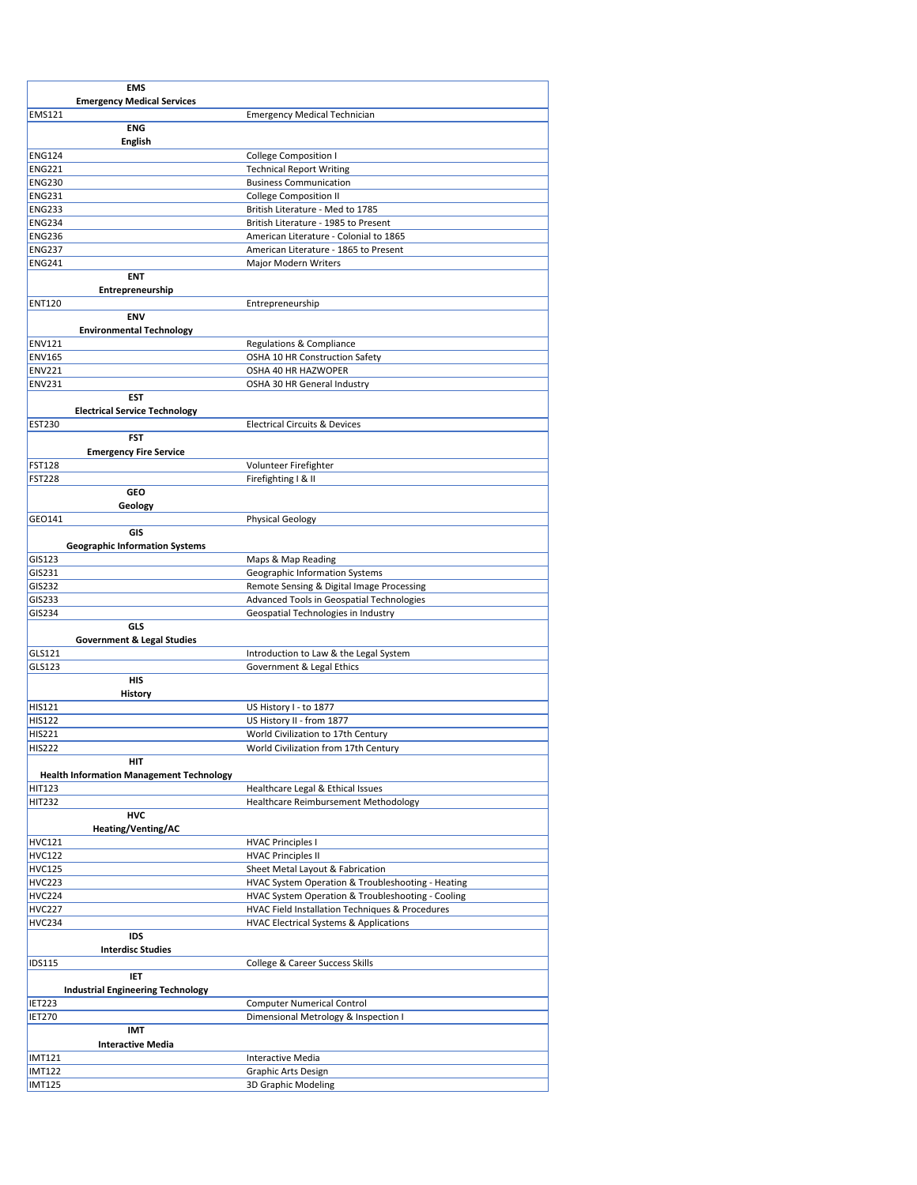| <b>EMS</b>                                      |                                                   |
|-------------------------------------------------|---------------------------------------------------|
| <b>Emergency Medical Services</b>               |                                                   |
| <b>EMS121</b>                                   | <b>Emergency Medical Technician</b>               |
| <b>ENG</b>                                      |                                                   |
| English                                         |                                                   |
| <b>ENG124</b>                                   | College Composition I                             |
| <b>ENG221</b>                                   | <b>Technical Report Writing</b>                   |
| <b>ENG230</b>                                   | <b>Business Communication</b>                     |
| <b>ENG231</b>                                   | <b>College Composition II</b>                     |
| <b>ENG233</b>                                   | British Literature - Med to 1785                  |
| <b>ENG234</b>                                   | British Literature - 1985 to Present              |
| <b>ENG236</b>                                   | American Literature - Colonial to 1865            |
| <b>ENG237</b>                                   | American Literature - 1865 to Present             |
| <b>ENG241</b>                                   | <b>Major Modern Writers</b>                       |
| <b>ENT</b>                                      |                                                   |
| Entrepreneurship                                |                                                   |
| <b>ENT120</b>                                   | Entrepreneurship                                  |
| <b>ENV</b>                                      |                                                   |
| <b>Environmental Technology</b>                 |                                                   |
| <b>ENV121</b>                                   | Regulations & Compliance                          |
| <b>ENV165</b>                                   | OSHA 10 HR Construction Safety                    |
| <b>ENV221</b>                                   | OSHA 40 HR HAZWOPER                               |
| <b>ENV231</b>                                   | OSHA 30 HR General Industry                       |
| EST                                             |                                                   |
| <b>Electrical Service Technology</b>            |                                                   |
| <b>EST230</b>                                   | <b>Electrical Circuits &amp; Devices</b>          |
| <b>FST</b>                                      |                                                   |
| <b>Emergency Fire Service</b>                   |                                                   |
| <b>FST128</b>                                   | Volunteer Firefighter                             |
| <b>FST228</b>                                   | Firefighting   & II                               |
| GEO                                             |                                                   |
| Geology                                         |                                                   |
| GEO141                                          | <b>Physical Geology</b>                           |
| GIS                                             |                                                   |
| <b>Geographic Information Systems</b>           |                                                   |
| GIS123                                          | Maps & Map Reading                                |
| GIS231                                          | Geographic Information Systems                    |
| GIS232                                          | Remote Sensing & Digital Image Processing         |
| GIS233                                          | Advanced Tools in Geospatial Technologies         |
| GIS234                                          | Geospatial Technologies in Industry               |
| GLS                                             |                                                   |
| <b>Government &amp; Legal Studies</b>           |                                                   |
| GLS121                                          | Introduction to Law & the Legal System            |
| GLS123                                          | Government & Legal Ethics                         |
| <b>HIS</b>                                      |                                                   |
| History                                         |                                                   |
| HIS121                                          | US History I - to 1877                            |
| <b>HIS122</b>                                   | US History II - from 1877                         |
| <b>HIS221</b>                                   | World Civilization to 17th Century                |
| <b>HIS222</b>                                   | World Civilization from 17th Century              |
| HIT                                             |                                                   |
| <b>Health Information Management Technology</b> |                                                   |
| <b>HIT123</b>                                   | Healthcare Legal & Ethical Issues                 |
| <b>HIT232</b>                                   | Healthcare Reimbursement Methodology              |
| HVC                                             |                                                   |
| Heating/Venting/AC                              |                                                   |
| <b>HVC121</b>                                   | <b>HVAC Principles I</b>                          |
| <b>HVC122</b>                                   | <b>HVAC Principles II</b>                         |
| <b>HVC125</b>                                   | Sheet Metal Layout & Fabrication                  |
| <b>HVC223</b>                                   | HVAC System Operation & Troubleshooting - Heating |
| <b>HVC224</b>                                   | HVAC System Operation & Troubleshooting - Cooling |
| <b>HVC227</b>                                   | HVAC Field Installation Techniques & Procedures   |
| <b>HVC234</b>                                   | <b>HVAC Electrical Systems &amp; Applications</b> |
| IDS                                             |                                                   |
| <b>Interdisc Studies</b>                        |                                                   |
| <b>IDS115</b>                                   | College & Career Success Skills                   |
| IET                                             |                                                   |
| <b>Industrial Engineering Technology</b>        |                                                   |
| <b>IET223</b>                                   | <b>Computer Numerical Control</b>                 |
| <b>IET270</b>                                   | Dimensional Metrology & Inspection I              |
| IMT                                             |                                                   |
| <b>Interactive Media</b>                        |                                                   |
| <b>IMT121</b>                                   | <b>Interactive Media</b>                          |
| <b>IMT122</b>                                   | Graphic Arts Design                               |
| <b>IMT125</b>                                   | 3D Graphic Modeling                               |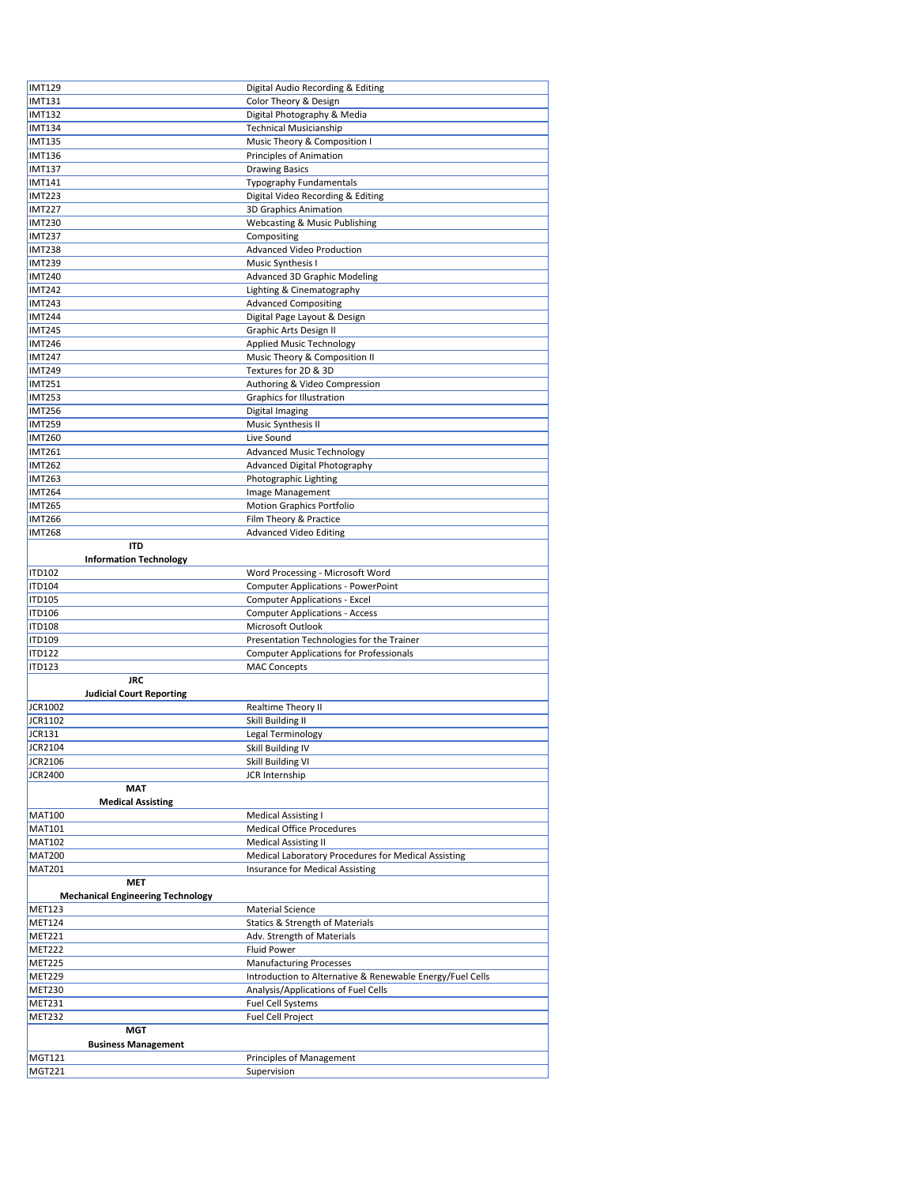| <b>IMT129</b>                            | Digital Audio Recording & Editing                         |
|------------------------------------------|-----------------------------------------------------------|
| <b>IMT131</b>                            | Color Theory & Design                                     |
|                                          |                                                           |
| <b>IMT132</b>                            | Digital Photography & Media                               |
| <b>IMT134</b>                            | <b>Technical Musicianship</b>                             |
| <b>IMT135</b>                            | Music Theory & Composition I                              |
| <b>IMT136</b>                            | Principles of Animation                                   |
| <b>IMT137</b>                            | <b>Drawing Basics</b>                                     |
| <b>IMT141</b>                            | <b>Typography Fundamentals</b>                            |
| <b>IMT223</b>                            | Digital Video Recording & Editing                         |
| <b>IMT227</b>                            | 3D Graphics Animation                                     |
|                                          |                                                           |
| <b>IMT230</b>                            | Webcasting & Music Publishing                             |
| <b>IMT237</b>                            | Compositing                                               |
| <b>IMT238</b>                            | Advanced Video Production                                 |
| <b>IMT239</b>                            | Music Synthesis I                                         |
| <b>IMT240</b>                            | Advanced 3D Graphic Modeling                              |
| <b>IMT242</b>                            | Lighting & Cinematography                                 |
| <b>IMT243</b>                            |                                                           |
|                                          | <b>Advanced Compositing</b>                               |
| <b>IMT244</b>                            | Digital Page Layout & Design                              |
| <b>IMT245</b>                            | Graphic Arts Design II                                    |
| <b>IMT246</b>                            | <b>Applied Music Technology</b>                           |
| <b>IMT247</b>                            | Music Theory & Composition II                             |
| <b>IMT249</b>                            | Textures for 2D & 3D                                      |
| <b>IMT251</b>                            | Authoring & Video Compression                             |
| <b>IMT253</b>                            |                                                           |
|                                          | Graphics for Illustration                                 |
| <b>IMT256</b>                            | Digital Imaging                                           |
| <b>IMT259</b>                            | Music Synthesis II                                        |
| <b>IMT260</b>                            | Live Sound                                                |
| <b>IMT261</b>                            | <b>Advanced Music Technology</b>                          |
| <b>IMT262</b>                            | Advanced Digital Photography                              |
| <b>IMT263</b>                            | Photographic Lighting                                     |
|                                          |                                                           |
| <b>IMT264</b>                            | Image Management                                          |
| <b>IMT265</b>                            | <b>Motion Graphics Portfolio</b>                          |
| <b>IMT266</b>                            | Film Theory & Practice                                    |
| <b>IMT268</b>                            | <b>Advanced Video Editing</b>                             |
| <b>ITD</b>                               |                                                           |
| <b>Information Technology</b>            |                                                           |
| <b>ITD102</b>                            | Word Processing - Microsoft Word                          |
|                                          |                                                           |
| <b>ITD104</b>                            | Computer Applications - PowerPoint                        |
| <b>ITD105</b>                            | <b>Computer Applications - Excel</b>                      |
| <b>ITD106</b>                            | <b>Computer Applications - Access</b>                     |
| <b>ITD108</b>                            | Microsoft Outlook                                         |
| <b>ITD109</b>                            | Presentation Technologies for the Trainer                 |
| <b>ITD122</b>                            | <b>Computer Applications for Professionals</b>            |
| <b>ITD123</b>                            | <b>MAC Concepts</b>                                       |
|                                          |                                                           |
| <b>JRC</b>                               |                                                           |
| <b>Judicial Court Reporting</b>          |                                                           |
| JCR1002                                  | Realtime Theory II                                        |
| <b>JCR1102</b>                           | Skill Building II                                         |
| <b>JCR131</b>                            | Legal Terminology                                         |
| JCR2104                                  | Skill Building IV                                         |
| <b>JCR2106</b>                           | Skill Building VI                                         |
|                                          |                                                           |
| JCR2400                                  | JCR Internship                                            |
| <b>MAT</b>                               |                                                           |
| <b>Medical Assisting</b>                 |                                                           |
| <b>MAT100</b>                            |                                                           |
|                                          | <b>Medical Assisting I</b>                                |
| <b>MAT101</b>                            | <b>Medical Office Procedures</b>                          |
|                                          |                                                           |
| <b>MAT102</b>                            | <b>Medical Assisting II</b>                               |
| <b>MAT200</b>                            | Medical Laboratory Procedures for Medical Assisting       |
| <b>MAT201</b>                            | Insurance for Medical Assisting                           |
| <b>MET</b>                               |                                                           |
| <b>Mechanical Engineering Technology</b> |                                                           |
| MET123                                   | <b>Material Science</b>                                   |
| <b>MET124</b>                            | <b>Statics &amp; Strength of Materials</b>                |
| <b>MET221</b>                            |                                                           |
|                                          | Adv. Strength of Materials                                |
| <b>MET222</b>                            | <b>Fluid Power</b>                                        |
| <b>MET225</b>                            | <b>Manufacturing Processes</b>                            |
| MET229                                   | Introduction to Alternative & Renewable Energy/Fuel Cells |
| <b>MET230</b>                            | Analysis/Applications of Fuel Cells                       |
| <b>MET231</b>                            | <b>Fuel Cell Systems</b>                                  |
| <b>MET232</b>                            | Fuel Cell Project                                         |
|                                          |                                                           |
| <b>MGT</b>                               |                                                           |
| <b>Business Management</b>               |                                                           |
| MGT121<br><b>MGT221</b>                  | Principles of Management<br>Supervision                   |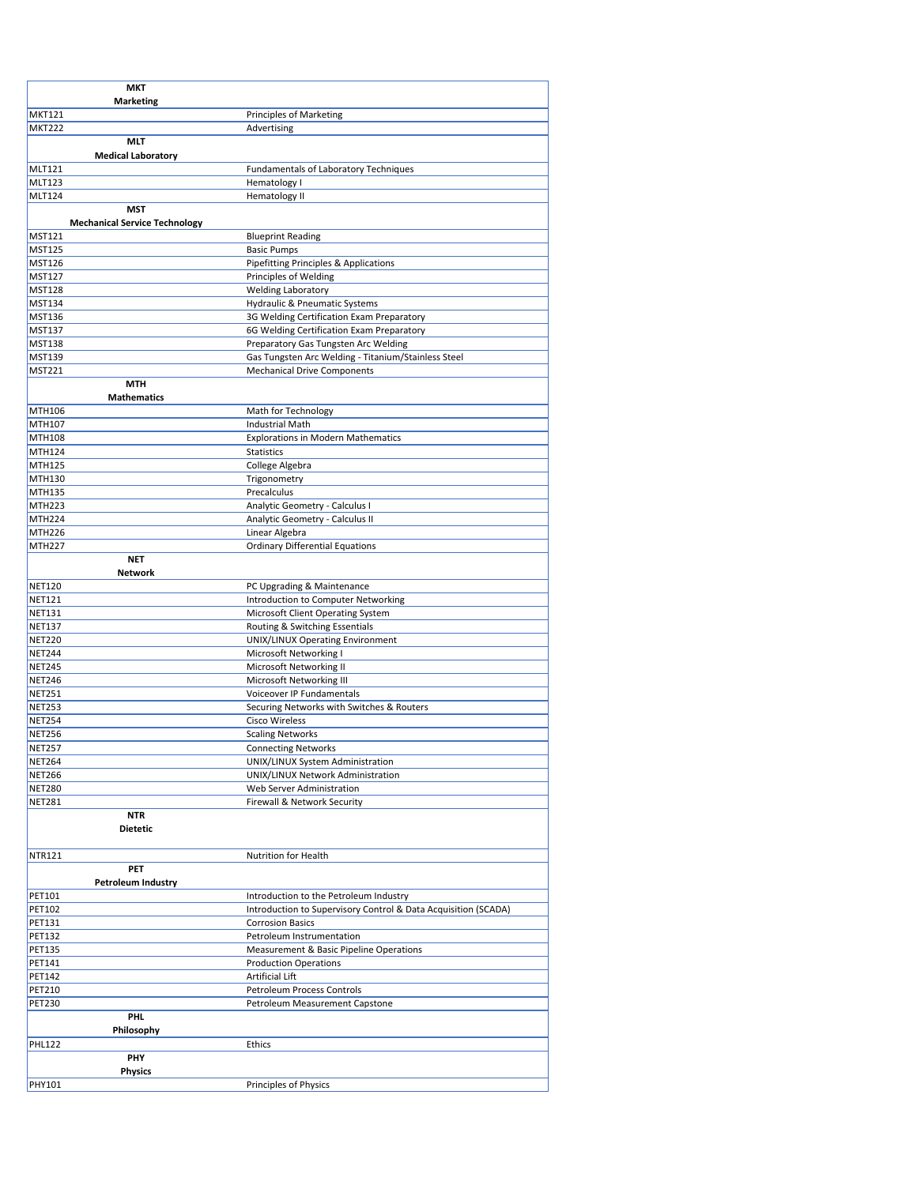| <b>MKT</b>                           |                                                                                           |
|--------------------------------------|-------------------------------------------------------------------------------------------|
| <b>Marketing</b><br><b>MKT121</b>    | <b>Principles of Marketing</b>                                                            |
| <b>MKT222</b>                        | Advertising                                                                               |
| MLT                                  |                                                                                           |
| <b>Medical Laboratory</b>            |                                                                                           |
| <b>MLT121</b>                        | <b>Fundamentals of Laboratory Techniques</b>                                              |
| <b>MLT123</b><br><b>MLT124</b>       | Hematology I<br>Hematology II                                                             |
| <b>MST</b>                           |                                                                                           |
| <b>Mechanical Service Technology</b> |                                                                                           |
| <b>MST121</b>                        | <b>Blueprint Reading</b>                                                                  |
| <b>MST125</b>                        | <b>Basic Pumps</b>                                                                        |
| MST126<br><b>MST127</b>              | Pipefitting Principles & Applications<br>Principles of Welding                            |
| <b>MST128</b>                        | <b>Welding Laboratory</b>                                                                 |
| MST134                               | Hydraulic & Pneumatic Systems                                                             |
| <b>MST136</b>                        | 3G Welding Certification Exam Preparatory                                                 |
| <b>MST137</b>                        | 6G Welding Certification Exam Preparatory                                                 |
| <b>MST138</b>                        | Preparatory Gas Tungsten Arc Welding                                                      |
| <b>MST139</b><br><b>MST221</b>       | Gas Tungsten Arc Welding - Titanium/Stainless Steel<br><b>Mechanical Drive Components</b> |
| <b>MTH</b>                           |                                                                                           |
| <b>Mathematics</b>                   |                                                                                           |
| MTH106                               | Math for Technology                                                                       |
| MTH107                               | <b>Industrial Math</b>                                                                    |
| <b>MTH108</b><br>MTH124              | <b>Explorations in Modern Mathematics</b><br><b>Statistics</b>                            |
| MTH125                               | College Algebra                                                                           |
| MTH130                               | Trigonometry                                                                              |
| MTH135                               | Precalculus                                                                               |
| <b>MTH223</b>                        | Analytic Geometry - Calculus I                                                            |
| <b>MTH224</b>                        | Analytic Geometry - Calculus II                                                           |
| <b>MTH226</b><br><b>MTH227</b>       | Linear Algebra<br><b>Ordinary Differential Equations</b>                                  |
| <b>NET</b>                           |                                                                                           |
| Network                              |                                                                                           |
| <b>NET120</b>                        | PC Upgrading & Maintenance                                                                |
| <b>NET121</b>                        | Introduction to Computer Networking                                                       |
| <b>NET131</b><br><b>NET137</b>       | Microsoft Client Operating System<br>Routing & Switching Essentials                       |
| <b>NET220</b>                        | UNIX/LINUX Operating Environment                                                          |
| <b>NET244</b>                        | Microsoft Networking I                                                                    |
| <b>NET245</b>                        | Microsoft Networking II                                                                   |
| <b>NET246</b>                        | Microsoft Networking III                                                                  |
| <b>NET251</b><br><b>NET253</b>       | Voiceover IP Fundamentals<br>Securing Networks with Switches & Routers                    |
| <b>NET254</b>                        | Cisco Wireless                                                                            |
| <b>NET256</b>                        | <b>Scaling Networks</b>                                                                   |
| <b>NET257</b>                        | <b>Connecting Networks</b>                                                                |
| <b>NET264</b>                        | UNIX/LINUX System Administration                                                          |
| <b>NET266</b>                        | UNIX/LINUX Network Administration<br>Web Server Administration                            |
| <b>NET280</b><br><b>NET281</b>       | Firewall & Network Security                                                               |
| NTR                                  |                                                                                           |
| Dietetic                             |                                                                                           |
|                                      |                                                                                           |
| <b>NTR121</b><br>PET                 | Nutrition for Health                                                                      |
| <b>Petroleum Industry</b>            |                                                                                           |
| PET101                               | Introduction to the Petroleum Industry                                                    |
| PET102                               | Introduction to Supervisory Control & Data Acquisition (SCADA)                            |
| PET131                               | <b>Corrosion Basics</b>                                                                   |
| PET132                               | Petroleum Instrumentation                                                                 |
| PET135<br>PET141                     | Measurement & Basic Pipeline Operations<br><b>Production Operations</b>                   |
| PET142                               | Artificial Lift                                                                           |
| PET210                               | Petroleum Process Controls                                                                |
| PET230                               | Petroleum Measurement Capstone                                                            |
| PHI.                                 |                                                                                           |
| Philosophy<br><b>PHL122</b>          | Ethics                                                                                    |
| PHY                                  |                                                                                           |
| Physics                              |                                                                                           |
| PHY101                               | Principles of Physics                                                                     |